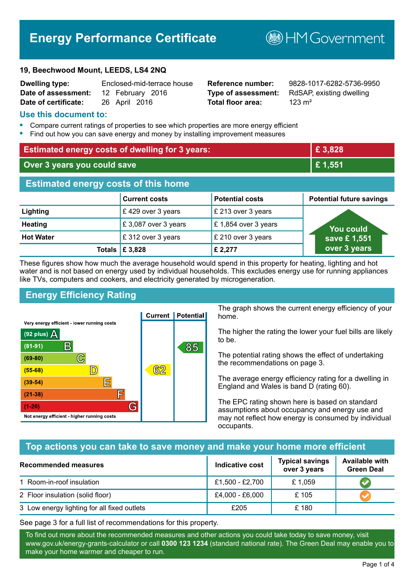# **Energy Performance Certificate**

#### **19, Beechwood Mount, LEEDS, LS4 2NQ**

| <b>Dwelling type:</b> | Enclosed-mid-terrace house |
|-----------------------|----------------------------|
| Date of assessment:   | 12 February 2016           |
| Date of certificate:  | 26 April 2016              |

# **Total floor area:** 223 m<sup>2</sup>

**Dwelling type:** Enclosed-mid-terrace house **Reference number:** 9828-1017-6282-5736-9950 **Type of assessment:** RdSAP, existing dwelling

**BHM Government** 

#### **Use this document to:**

- **•** Compare current ratings of properties to see which properties are more energy efficient
- **•** Find out how you can save energy and money by installing improvement measures

| <b>Estimated energy costs of dwelling for 3 years:</b> |                                 |                        | £ 3,828                         |  |
|--------------------------------------------------------|---------------------------------|------------------------|---------------------------------|--|
| Over 3 years you could save                            |                                 |                        | £1,551                          |  |
| <b>Estimated energy costs of this home</b>             |                                 |                        |                                 |  |
|                                                        | <b>Current costs</b>            | <b>Potential costs</b> | <b>Potential future savings</b> |  |
| Lighting                                               | £429 over 3 years               | £ 213 over 3 years     |                                 |  |
| <b>Heating</b>                                         | £3,087 over 3 years             | £1,854 over 3 years    | You could                       |  |
| <b>Hot Water</b>                                       | £312 over 3 years               | £ 210 over 3 years     | save £1,551                     |  |
|                                                        | Totals $\mathbf \epsilon$ 3,828 | £ 2,277                | over 3 years                    |  |

These figures show how much the average household would spend in this property for heating, lighting and hot water and is not based on energy used by individual households. This excludes energy use for running appliances like TVs, computers and cookers, and electricity generated by microgeneration.

# **Energy Efficiency Rating**



The graph shows the current energy efficiency of your home.

The higher the rating the lower your fuel bills are likely to be.

The potential rating shows the effect of undertaking the recommendations on page 3.

The average energy efficiency rating for a dwelling in England and Wales is band D (rating 60).

The EPC rating shown here is based on standard assumptions about occupancy and energy use and may not reflect how energy is consumed by individual occupants.

### **Top actions you can take to save money and make your home more efficient**

| <b>Recommended measures</b>                 | Indicative cost | <b>Typical savings</b><br>over 3 years | <b>Available with</b><br><b>Green Deal</b> |
|---------------------------------------------|-----------------|----------------------------------------|--------------------------------------------|
| 1 Room-in-roof insulation                   | £1,500 - £2,700 | £1,059                                 |                                            |
| 2 Floor insulation (solid floor)            | £4,000 - £6,000 | £105                                   |                                            |
| 3 Low energy lighting for all fixed outlets | £205            | £180                                   |                                            |

See page 3 for a full list of recommendations for this property.

To find out more about the recommended measures and other actions you could take today to save money, visit www.gov.uk/energy-grants-calculator or call **0300 123 1234** (standard national rate). The Green Deal may enable you to make your home warmer and cheaper to run.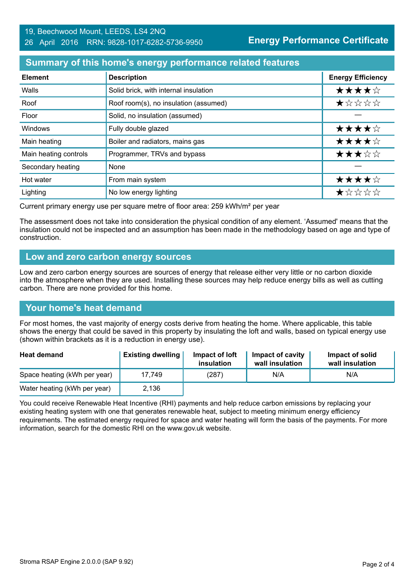#### **Summary of this home's energy performance related features**

| <b>Element</b>        | <b>Description</b>                    | <b>Energy Efficiency</b> |
|-----------------------|---------------------------------------|--------------------------|
| Walls                 | Solid brick, with internal insulation | ★★★★☆                    |
| Roof                  | Roof room(s), no insulation (assumed) | ★☆☆☆☆                    |
| Floor                 | Solid, no insulation (assumed)        |                          |
| Windows               | Fully double glazed                   | ★★★★☆                    |
| Main heating          | Boiler and radiators, mains gas       | ★★★★☆                    |
| Main heating controls | Programmer, TRVs and bypass           | ★★★☆☆                    |
| Secondary heating     | None                                  |                          |
| Hot water             | From main system                      | ★★★★☆                    |
| Lighting              | No low energy lighting                | ★☆☆☆☆                    |

Current primary energy use per square metre of floor area: 259 kWh/m² per year

The assessment does not take into consideration the physical condition of any element. 'Assumed' means that the insulation could not be inspected and an assumption has been made in the methodology based on age and type of construction.

#### **Low and zero carbon energy sources**

Low and zero carbon energy sources are sources of energy that release either very little or no carbon dioxide into the atmosphere when they are used. Installing these sources may help reduce energy bills as well as cutting carbon. There are none provided for this home.

#### **Your home's heat demand**

For most homes, the vast majority of energy costs derive from heating the home. Where applicable, this table shows the energy that could be saved in this property by insulating the loft and walls, based on typical energy use (shown within brackets as it is a reduction in energy use).

| <b>Heat demand</b>           | <b>Existing dwelling</b> | Impact of loft<br>insulation | <b>Impact of cavity</b><br>wall insulation | Impact of solid<br>wall insulation |
|------------------------------|--------------------------|------------------------------|--------------------------------------------|------------------------------------|
| Space heating (kWh per year) | 17.749                   | (287)                        | N/A                                        | N/A                                |
| Water heating (kWh per year) | 2,136                    |                              |                                            |                                    |

You could receive Renewable Heat Incentive (RHI) payments and help reduce carbon emissions by replacing your existing heating system with one that generates renewable heat, subject to meeting minimum energy efficiency requirements. The estimated energy required for space and water heating will form the basis of the payments. For more information, search for the domestic RHI on the www.gov.uk website.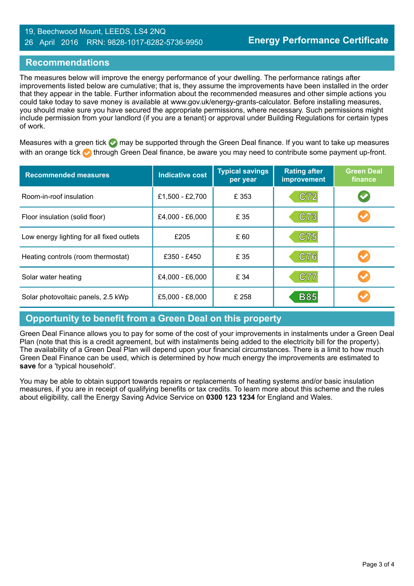#### 19, Beechwood Mount, LEEDS, LS4 2NQ 26 April 2016 RRN: 9828-1017-6282-5736-9950

#### **Recommendations**

The measures below will improve the energy performance of your dwelling. The performance ratings after improvements listed below are cumulative; that is, they assume the improvements have been installed in the order that they appear in the table. Further information about the recommended measures and other simple actions you could take today to save money is available at www.gov.uk/energy-grants-calculator. Before installing measures, you should make sure you have secured the appropriate permissions, where necessary. Such permissions might include permission from your landlord (if you are a tenant) or approval under Building Regulations for certain types of work.

Measures with a green tick  $\bullet$  may be supported through the Green Deal finance. If you want to take up measures with an orange tick **th** through Green Deal finance, be aware you may need to contribute some payment up-front.

| <b>Recommended measures</b>               | <b>Indicative cost</b> | <b>Typical savings</b><br>per year | <b>Rating after</b><br>improvement | <b>Green Deal</b><br>finance |
|-------------------------------------------|------------------------|------------------------------------|------------------------------------|------------------------------|
| Room-in-roof insulation                   | £1,500 - £2,700        | £ 353                              | C72                                | V                            |
| Floor insulation (solid floor)            | £4,000 - £6,000        | £ 35                               | C73                                |                              |
| Low energy lighting for all fixed outlets | £205                   | £ 60                               | C75                                |                              |
| Heating controls (room thermostat)        | £350 - £450            | £ 35                               | C76                                |                              |
| Solar water heating                       | £4,000 - £6,000        | £ 34                               | C77                                |                              |
| Solar photovoltaic panels, 2.5 kWp        | £5,000 - £8,000        | £ 258                              | <b>B85</b>                         |                              |

#### **Opportunity to benefit from a Green Deal on this property**

Green Deal Finance allows you to pay for some of the cost of your improvements in instalments under a Green Deal Plan (note that this is a credit agreement, but with instalments being added to the electricity bill for the property). The availability of a Green Deal Plan will depend upon your financial circumstances. There is a limit to how much Green Deal Finance can be used, which is determined by how much energy the improvements are estimated to **save** for a 'typical household'.

You may be able to obtain support towards repairs or replacements of heating systems and/or basic insulation measures, if you are in receipt of qualifying benefits or tax credits. To learn more about this scheme and the rules about eligibility, call the Energy Saving Advice Service on **0300 123 1234** for England and Wales.